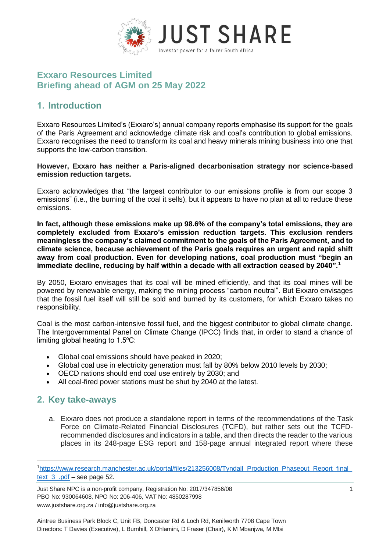

## **Exxaro Resources Limited Briefing ahead of AGM on 25 May 2022**

## **1. Introduction**

Exxaro Resources Limited's (Exxaro's) annual company reports emphasise its support for the goals of the Paris Agreement and acknowledge climate risk and coal's contribution to global emissions. Exxaro recognises the need to transform its coal and heavy minerals mining business into one that supports the low-carbon transition.

#### **However, Exxaro has neither a Paris-aligned decarbonisation strategy nor science-based emission reduction targets.**

Exxaro acknowledges that "the largest contributor to our emissions profile is from our scope 3 emissions" (i.e., the burning of the coal it sells), but it appears to have no plan at all to reduce these emissions.

**In fact, although these emissions make up 98.6% of the company's total emissions, they are completely excluded from Exxaro's emission reduction targets. This exclusion renders meaningless the company's claimed commitment to the goals of the Paris Agreement, and to climate science, because achievement of the Paris goals requires an urgent and rapid shift away from coal production. Even for developing nations, coal production must "begin an immediate decline, reducing by half within a decade with all extraction ceased by 2040".<sup>1</sup>**

By 2050, Exxaro envisages that its coal will be mined efficiently, and that its coal mines will be powered by renewable energy, making the mining process "carbon neutral". But Exxaro envisages that the fossil fuel itself will still be sold and burned by its customers, for which Exxaro takes no responsibility.

Coal is the most carbon-intensive fossil fuel, and the biggest contributor to global climate change. The Intergovernmental Panel on Climate Change (IPCC) finds that, in order to stand a chance of limiting global heating to 1.5°C:

- Global coal emissions should have peaked in 2020;
- Global coal use in electricity generation must fall by 80% below 2010 levels by 2030;
- OECD nations should end coal use entirely by 2030; and
- All coal-fired power stations must be shut by 2040 at the latest.

### **2. Key take-aways**

-

a. Exxaro does not produce a standalone report in terms of the recommendations of the Task Force on Climate-Related Financial Disclosures (TCFD), but rather sets out the TCFDrecommended disclosures and indicators in a table, and then directs the reader to the various places in its 248-page ESG report and 158-page annual integrated report where these

<sup>1</sup>[https://www.research.manchester.ac.uk/portal/files/213256008/Tyndall\\_Production\\_Phaseout\\_Report\\_final\\_](https://www.research.manchester.ac.uk/portal/files/213256008/Tyndall_Production_Phaseout_Report_final_text_3_.pdf) text 3 .pdf – see page 52.

Just Share NPC is a non-profit company, Registration No: 2017/347856/08 1 PBO No: 930064608, NPO No: 206-406, VAT No: 4850287998 www.justshare.org.za / info@justshare.org.za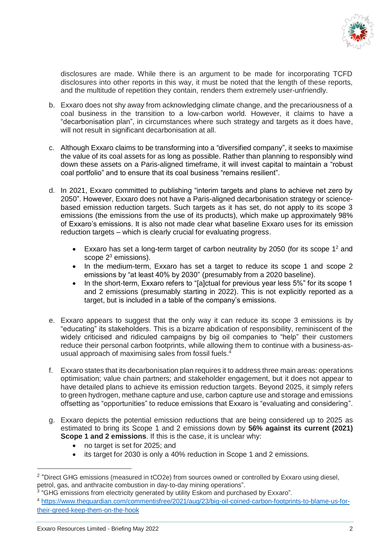

disclosures are made. While there is an argument to be made for incorporating TCFD disclosures into other reports in this way, it must be noted that the length of these reports, and the multitude of repetition they contain, renders them extremely user-unfriendly.

- b. Exxaro does not shy away from acknowledging climate change, and the precariousness of a coal business in the transition to a low-carbon world. However, it claims to have a "decarbonisation plan", in circumstances where such strategy and targets as it does have, will not result in significant decarbonisation at all.
- c. Although Exxaro claims to be transforming into a "diversified company", it seeks to maximise the value of its coal assets for as long as possible. Rather than planning to responsibly wind down these assets on a Paris-aligned timeframe, it will invest capital to maintain a "robust coal portfolio" and to ensure that its coal business "remains resilient".
- d. In 2021, Exxaro committed to publishing "interim targets and plans to achieve net zero by 2050". However, Exxaro does not have a Paris-aligned decarbonisation strategy or sciencebased emission reduction targets. Such targets as it has set, do not apply to its scope 3 emissions (the emissions from the use of its products), which make up approximately 98% of Exxaro's emissions. It is also not made clear what baseline Exxaro uses for its emission reduction targets – which is clearly crucial for evaluating progress.
	- Exxaro has set a long-term target of carbon neutrality by 2050 (for its scope  $1^2$  and scope  $2<sup>3</sup>$  emissions).
	- In the medium-term, Exxaro has set a target to reduce its scope 1 and scope 2 emissions by "at least 40% by 2030" (presumably from a 2020 baseline).
	- In the short-term, Exxaro refers to "[a]ctual for previous year less 5%" for its scope 1 and 2 emissions (presumably starting in 2022). This is not explicitly reported as a target, but is included in a table of the company's emissions.
- e. Exxaro appears to suggest that the only way it can reduce its scope 3 emissions is by "educating" its stakeholders. This is a bizarre abdication of responsibility, reminiscent of the widely criticised and ridiculed campaigns by big oil companies to "help" their customers reduce their personal carbon footprints, while allowing them to continue with a business-asusual approach of maximising sales from fossil fuels. 4
- f. Exxaro states that its decarbonisation plan requires it to address three main areas: operations optimisation; value chain partners; and stakeholder engagement, but it does not appear to have detailed plans to achieve its emission reduction targets. Beyond 2025, it simply refers to green hydrogen, methane capture and use, carbon capture use and storage and emissions offsetting as "opportunities" to reduce emissions that Exxaro is "evaluating and considering".
- g. Exxaro depicts the potential emission reductions that are being considered up to 2025 as estimated to bring its Scope 1 and 2 emissions down by **56% against its current (2021) Scope 1 and 2 emissions**. If this is the case, it is unclear why:
	- no target is set for 2025; and
	- its target for 2030 is only a 40% reduction in Scope 1 and 2 emissions.

 $\overline{a}$ 

<sup>&</sup>lt;sup>2</sup> "Direct GHG emissions (measured in tCO2e) from sources owned or controlled by Exxaro using diesel, petrol, gas, and anthracite combustion in day-to-day mining operations".

<sup>&</sup>lt;sup>3</sup> "GHG emissions from electricity generated by utility Eskom and purchased by Exxaro".

<sup>4</sup> [https://www.theguardian.com/commentisfree/2021/aug/23/big-oil-coined-carbon-footprints-to-blame-us-for](https://www.theguardian.com/commentisfree/2021/aug/23/big-oil-coined-carbon-footprints-to-blame-us-for-their-greed-keep-them-on-the-hook)[their-greed-keep-them-on-the-hook](https://www.theguardian.com/commentisfree/2021/aug/23/big-oil-coined-carbon-footprints-to-blame-us-for-their-greed-keep-them-on-the-hook)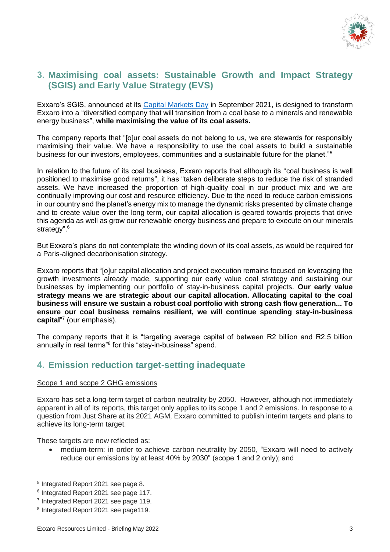

### **3. Maximising coal assets: Sustainable Growth and Impact Strategy (SGIS) and Early Value Strategy (EVS)**

Exxaro's SGIS, announced at its [Capital Markets Day](https://www.exxaro.com/investor-centre/presentations-and-speeches/capital-markets-day-2021/#:~:text=Exxaro%20hosted%20a%20virtual%20Capital,climate%20change%2C%20risks%20and%20opportunities.) in September 2021, is designed to transform Exxaro into a "diversified company that will transition from a coal base to a minerals and renewable energy business", **while maximising the value of its coal assets.** 

The company reports that "[o]ur coal assets do not belong to us, we are stewards for responsibly maximising their value. We have a responsibility to use the coal assets to build a sustainable business for our investors, employees, communities and a sustainable future for the planet."<sup>5</sup>

In relation to the future of its coal business, Exxaro reports that although its "coal business is well positioned to maximise good returns", it has "taken deliberate steps to reduce the risk of stranded assets. We have increased the proportion of high-quality coal in our product mix and we are continually improving our cost and resource efficiency. Due to the need to reduce carbon emissions in our country and the planet's energy mix to manage the dynamic risks presented by climate change and to create value over the long term, our capital allocation is geared towards projects that drive this agenda as well as grow our renewable energy business and prepare to execute on our minerals strategy".<sup>6</sup>

But Exxaro's plans do not contemplate the winding down of its coal assets, as would be required for a Paris-aligned decarbonisation strategy.

Exxaro reports that "[o]ur capital allocation and project execution remains focused on leveraging the growth investments already made, supporting our early value coal strategy and sustaining our businesses by implementing our portfolio of stay-in-business capital projects. **Our early value strategy means we are strategic about our capital allocation. Allocating capital to the coal business will ensure we sustain a robust coal portfolio with strong cash flow generation... To ensure our coal business remains resilient, we will continue spending stay-in-business capital**" 7 (our emphasis).

The company reports that it is "targeting average capital of between R2 billion and R2.5 billion annually in real terms"<sup>8</sup> for this "stay-in-business" spend.

### **4. Emission reduction target-setting inadequate**

#### Scope 1 and scope 2 GHG emissions

Exxaro has set a long-term target of carbon neutrality by 2050. However, although not immediately apparent in all of its reports, this target only applies to its scope 1 and 2 emissions. In response to a question from Just Share at its 2021 AGM, Exxaro committed to publish interim targets and plans to achieve its long-term target.

These targets are now reflected as:

 medium-term: in order to achieve carbon neutrality by 2050, "Exxaro will need to actively reduce our emissions by at least 40% by 2030" (scope 1 and 2 only); and

-

<sup>5</sup> Integrated Report 2021 see page 8.

<sup>&</sup>lt;sup>6</sup> Integrated Report 2021 see page 117.

<sup>&</sup>lt;sup>7</sup> Integrated Report 2021 see page 119.

<sup>8</sup> Integrated Report 2021 see page119.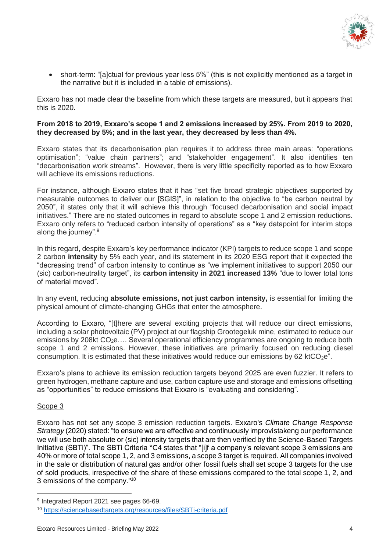

 short-term: "[a]ctual for previous year less 5%" (this is not explicitly mentioned as a target in the narrative but it is included in a table of emissions).

Exxaro has not made clear the baseline from which these targets are measured, but it appears that this is 2020.

#### **From 2018 to 2019, Exxaro's scope 1 and 2 emissions increased by 25%. From 2019 to 2020, they decreased by 5%; and in the last year, they decreased by less than 4%.**

Exxaro states that its decarbonisation plan requires it to address three main areas: "operations optimisation"; "value chain partners"; and "stakeholder engagement". It also identifies ten "decarbonisation work streams". However, there is very little specificity reported as to how Exxaro will achieve its emissions reductions.

For instance, although Exxaro states that it has "set five broad strategic objectives supported by measurable outcomes to deliver our [SGIS]", in relation to the objective to "be carbon neutral by 2050", it states only that it will achieve this through "focused decarbonisation and social impact initiatives." There are no stated outcomes in regard to absolute scope 1 and 2 emission reductions. Exxaro only refers to "reduced carbon intensity of operations" as a "key datapoint for interim stops along the journey".<sup>9</sup>

In this regard, despite Exxaro's key performance indicator (KPI) targets to reduce scope 1 and scope 2 carbon **intensity** by 5% each year, and its statement in its 2020 ESG report that it expected the "decreasing trend" of carbon intensity to continue as "we implement initiatives to support 2050 our (sic) carbon-neutrality target", its **carbon intensity in 2021 increased 13%** "due to lower total tons of material moved".

In any event, reducing **absolute emissions, not just carbon intensity,** is essential for limiting the physical amount of climate-changing GHGs that enter the atmosphere.

According to Exxaro, "[t]here are several exciting projects that will reduce our direct emissions, including a solar photovoltaic (PV) project at our flagship Grootegeluk mine, estimated to reduce our emissions by 208kt CO<sub>2</sub>e.... Several operational efficiency programmes are ongoing to reduce both scope 1 and 2 emissions. However, these initiatives are primarily focused on reducing diesel consumption. It is estimated that these initiatives would reduce our emissions by 62 ktCO $_2e$ .

Exxaro's plans to achieve its emission reduction targets beyond 2025 are even fuzzier. It refers to green hydrogen, methane capture and use, carbon capture use and storage and emissions offsetting as "opportunities" to reduce emissions that Exxaro is "evaluating and considering".

#### Scope 3

-

Exxaro has not set any scope 3 emission reduction targets. Exxaro's *Climate Change Response Strategy* (2020) stated: "to ensure we are effective and continuously improvistakeng our performance we will use both absolute or (sic) intensity targets that are then verified by the Science-Based Targets Initiative (SBTi)". The SBTi Criteria \*C4 states that "[i]f a company's relevant scope 3 emissions are 40% or more of total scope 1, 2, and 3 emissions, a scope 3 target is required. All companies involved in the sale or distribution of natural gas and/or other fossil fuels shall set scope 3 targets for the use of sold products, irrespective of the share of these emissions compared to the total scope 1, 2, and 3 emissions of the company."<sup>10</sup>

<sup>9</sup> Integrated Report 2021 see pages 66-69.

<sup>10</sup> <https://sciencebasedtargets.org/resources/files/SBTi-criteria.pdf>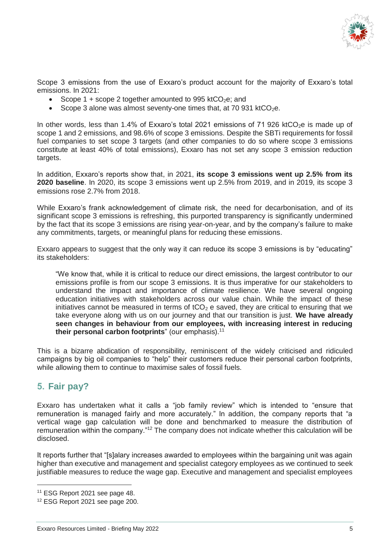

Scope 3 emissions from the use of Exxaro's product account for the majority of Exxaro's total emissions. In 2021:

- Scope 1 + scope 2 together amounted to 995 ktCO<sub>2</sub>e; and
- Scope 3 alone was almost seventy-one times that, at 70 931 ktCO<sub>2</sub>e.

In other words, less than 1.4% of Exxaro's total 2021 emissions of 71 926 ktCO<sub>2</sub>e is made up of scope 1 and 2 emissions, and 98.6% of scope 3 emissions. Despite the SBTi requirements for fossil fuel companies to set scope 3 targets (and other companies to do so where scope 3 emissions constitute at least 40% of total emissions), Exxaro has not set any scope 3 emission reduction targets.

In addition, Exxaro's reports show that, in 2021, **its scope 3 emissions went up 2.5% from its 2020 baseline**. In 2020, its scope 3 emissions went up 2.5% from 2019, and in 2019, its scope 3 emissions rose 2.7% from 2018.

While Exxaro's frank acknowledgement of climate risk, the need for decarbonisation, and of its significant scope 3 emissions is refreshing, this purported transparency is significantly undermined by the fact that its scope 3 emissions are rising year-on-year, and by the company's failure to make any commitments, targets, or meaningful plans for reducing these emissions.

Exxaro appears to suggest that the only way it can reduce its scope 3 emissions is by "educating" its stakeholders:

"We know that, while it is critical to reduce our direct emissions, the largest contributor to our emissions profile is from our scope 3 emissions. It is thus imperative for our stakeholders to understand the impact and importance of climate resilience. We have several ongoing education initiatives with stakeholders across our value chain. While the impact of these initiatives cannot be measured in terms of tCO<sub>2</sub> e saved, they are critical to ensuring that we take everyone along with us on our journey and that our transition is just. **We have already seen changes in behaviour from our employees, with increasing interest in reducing their personal carbon footprints**" (our emphasis). 11

This is a bizarre abdication of responsibility, reminiscent of the widely criticised and ridiculed campaigns by big oil companies to "help" their customers reduce their personal carbon footprints, while allowing them to continue to maximise sales of fossil fuels.

# **5. Fair pay?**

-

Exxaro has undertaken what it calls a "job family review" which is intended to "ensure that remuneration is managed fairly and more accurately." In addition, the company reports that "a vertical wage gap calculation will be done and benchmarked to measure the distribution of remuneration within the company."<sup>12</sup> The company does not indicate whether this calculation will be disclosed.

It reports further that "[s]alary increases awarded to employees within the bargaining unit was again higher than executive and management and specialist category employees as we continued to seek justifiable measures to reduce the wage gap. Executive and management and specialist employees

<sup>11</sup> ESG Report 2021 see page 48.

<sup>12</sup> ESG Report 2021 see page 200.